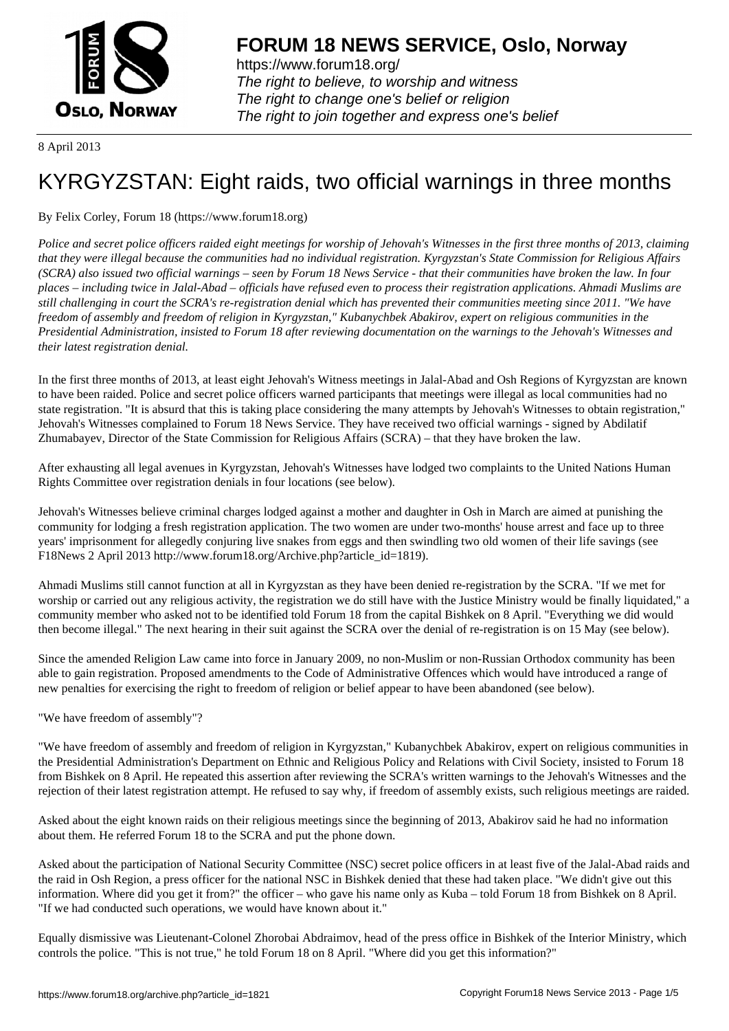

https://www.forum18.org/ The right to believe, to worship and witness The right to change one's belief or religion [The right to join together a](https://www.forum18.org/)nd express one's belief

8 April 2013

# [KYRGYZSTAN](https://www.forum18.org): Eight raids, two official warnings in three months

By Felix Corley, Forum 18 (https://www.forum18.org)

*Police and secret police officers raided eight meetings for worship of Jehovah's Witnesses in the first three months of 2013, claiming that they were illegal because the communities had no individual registration. Kyrgyzstan's State Commission for Religious Affairs (SCRA) also issued two official warnings – seen by Forum 18 News Service - that their communities have broken the law. In four places – including twice in Jalal-Abad – officials have refused even to process their registration applications. Ahmadi Muslims are still challenging in court the SCRA's re-registration denial which has prevented their communities meeting since 2011. "We have freedom of assembly and freedom of religion in Kyrgyzstan," Kubanychbek Abakirov, expert on religious communities in the Presidential Administration, insisted to Forum 18 after reviewing documentation on the warnings to the Jehovah's Witnesses and their latest registration denial.*

In the first three months of 2013, at least eight Jehovah's Witness meetings in Jalal-Abad and Osh Regions of Kyrgyzstan are known to have been raided. Police and secret police officers warned participants that meetings were illegal as local communities had no state registration. "It is absurd that this is taking place considering the many attempts by Jehovah's Witnesses to obtain registration," Jehovah's Witnesses complained to Forum 18 News Service. They have received two official warnings - signed by Abdilatif Zhumabayev, Director of the State Commission for Religious Affairs (SCRA) – that they have broken the law.

After exhausting all legal avenues in Kyrgyzstan, Jehovah's Witnesses have lodged two complaints to the United Nations Human Rights Committee over registration denials in four locations (see below).

Jehovah's Witnesses believe criminal charges lodged against a mother and daughter in Osh in March are aimed at punishing the community for lodging a fresh registration application. The two women are under two-months' house arrest and face up to three years' imprisonment for allegedly conjuring live snakes from eggs and then swindling two old women of their life savings (see F18News 2 April 2013 http://www.forum18.org/Archive.php?article\_id=1819).

Ahmadi Muslims still cannot function at all in Kyrgyzstan as they have been denied re-registration by the SCRA. "If we met for worship or carried out any religious activity, the registration we do still have with the Justice Ministry would be finally liquidated," a community member who asked not to be identified told Forum 18 from the capital Bishkek on 8 April. "Everything we did would then become illegal." The next hearing in their suit against the SCRA over the denial of re-registration is on 15 May (see below).

Since the amended Religion Law came into force in January 2009, no non-Muslim or non-Russian Orthodox community has been able to gain registration. Proposed amendments to the Code of Administrative Offences which would have introduced a range of new penalties for exercising the right to freedom of religion or belief appear to have been abandoned (see below).

"We have freedom of assembly"?

"We have freedom of assembly and freedom of religion in Kyrgyzstan," Kubanychbek Abakirov, expert on religious communities in the Presidential Administration's Department on Ethnic and Religious Policy and Relations with Civil Society, insisted to Forum 18 from Bishkek on 8 April. He repeated this assertion after reviewing the SCRA's written warnings to the Jehovah's Witnesses and the rejection of their latest registration attempt. He refused to say why, if freedom of assembly exists, such religious meetings are raided.

Asked about the eight known raids on their religious meetings since the beginning of 2013, Abakirov said he had no information about them. He referred Forum 18 to the SCRA and put the phone down.

Asked about the participation of National Security Committee (NSC) secret police officers in at least five of the Jalal-Abad raids and the raid in Osh Region, a press officer for the national NSC in Bishkek denied that these had taken place. "We didn't give out this information. Where did you get it from?" the officer – who gave his name only as Kuba – told Forum 18 from Bishkek on 8 April. "If we had conducted such operations, we would have known about it."

Equally dismissive was Lieutenant-Colonel Zhorobai Abdraimov, head of the press office in Bishkek of the Interior Ministry, which controls the police. "This is not true," he told Forum 18 on 8 April. "Where did you get this information?"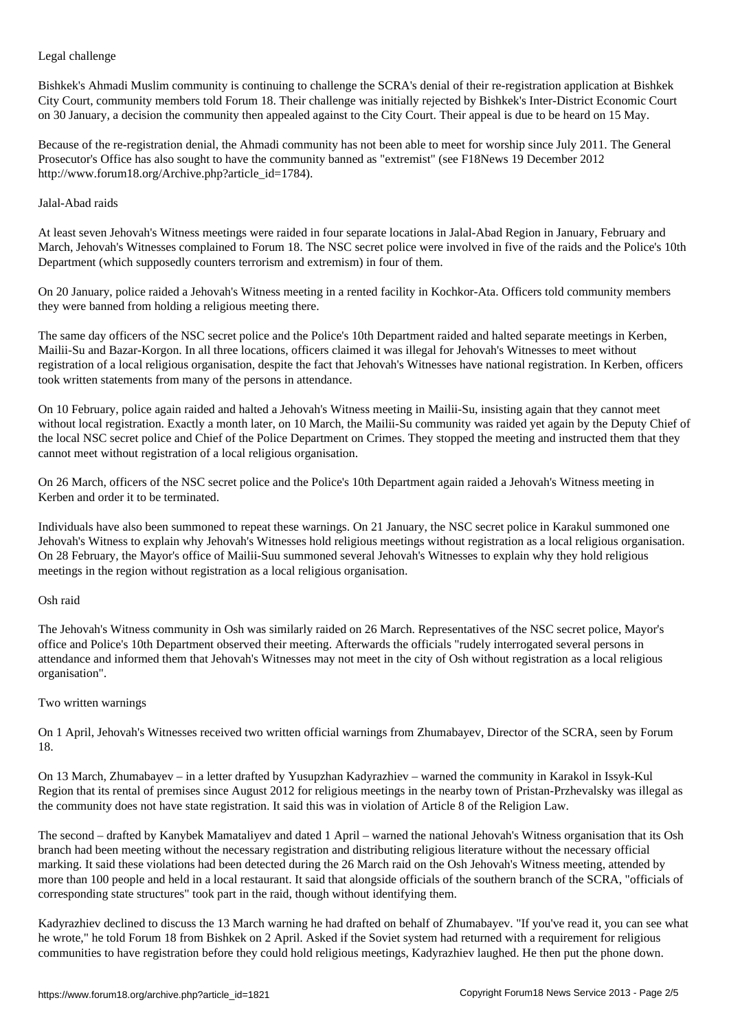Legal challenge

Bishkek's Ahmadi Muslim community is continuing to challenge the SCRA's denial of their re-registration application at Bishkek City Court, community members told Forum 18. Their challenge was initially rejected by Bishkek's Inter-District Economic Court on 30 January, a decision the community then appealed against to the City Court. Their appeal is due to be heard on 15 May.

Because of the re-registration denial, the Ahmadi community has not been able to meet for worship since July 2011. The General Prosecutor's Office has also sought to have the community banned as "extremist" (see F18News 19 December 2012 http://www.forum18.org/Archive.php?article\_id=1784).

## Jalal-Abad raids

At least seven Jehovah's Witness meetings were raided in four separate locations in Jalal-Abad Region in January, February and March, Jehovah's Witnesses complained to Forum 18. The NSC secret police were involved in five of the raids and the Police's 10th Department (which supposedly counters terrorism and extremism) in four of them.

On 20 January, police raided a Jehovah's Witness meeting in a rented facility in Kochkor-Ata. Officers told community members they were banned from holding a religious meeting there.

The same day officers of the NSC secret police and the Police's 10th Department raided and halted separate meetings in Kerben, Mailii-Su and Bazar-Korgon. In all three locations, officers claimed it was illegal for Jehovah's Witnesses to meet without registration of a local religious organisation, despite the fact that Jehovah's Witnesses have national registration. In Kerben, officers took written statements from many of the persons in attendance.

On 10 February, police again raided and halted a Jehovah's Witness meeting in Mailii-Su, insisting again that they cannot meet without local registration. Exactly a month later, on 10 March, the Mailii-Su community was raided yet again by the Deputy Chief of the local NSC secret police and Chief of the Police Department on Crimes. They stopped the meeting and instructed them that they cannot meet without registration of a local religious organisation.

On 26 March, officers of the NSC secret police and the Police's 10th Department again raided a Jehovah's Witness meeting in Kerben and order it to be terminated.

Individuals have also been summoned to repeat these warnings. On 21 January, the NSC secret police in Karakul summoned one Jehovah's Witness to explain why Jehovah's Witnesses hold religious meetings without registration as a local religious organisation. On 28 February, the Mayor's office of Mailii-Suu summoned several Jehovah's Witnesses to explain why they hold religious meetings in the region without registration as a local religious organisation.

## Osh raid

The Jehovah's Witness community in Osh was similarly raided on 26 March. Representatives of the NSC secret police, Mayor's office and Police's 10th Department observed their meeting. Afterwards the officials "rudely interrogated several persons in attendance and informed them that Jehovah's Witnesses may not meet in the city of Osh without registration as a local religious organisation".

## Two written warnings

On 1 April, Jehovah's Witnesses received two written official warnings from Zhumabayev, Director of the SCRA, seen by Forum 18.

On 13 March, Zhumabayev – in a letter drafted by Yusupzhan Kadyrazhiev – warned the community in Karakol in Issyk-Kul Region that its rental of premises since August 2012 for religious meetings in the nearby town of Pristan-Przhevalsky was illegal as the community does not have state registration. It said this was in violation of Article 8 of the Religion Law.

The second – drafted by Kanybek Mamataliyev and dated 1 April – warned the national Jehovah's Witness organisation that its Osh branch had been meeting without the necessary registration and distributing religious literature without the necessary official marking. It said these violations had been detected during the 26 March raid on the Osh Jehovah's Witness meeting, attended by more than 100 people and held in a local restaurant. It said that alongside officials of the southern branch of the SCRA, "officials of corresponding state structures" took part in the raid, though without identifying them.

Kadyrazhiev declined to discuss the 13 March warning he had drafted on behalf of Zhumabayev. "If you've read it, you can see what he wrote," he told Forum 18 from Bishkek on 2 April. Asked if the Soviet system had returned with a requirement for religious communities to have registration before they could hold religious meetings, Kadyrazhiev laughed. He then put the phone down.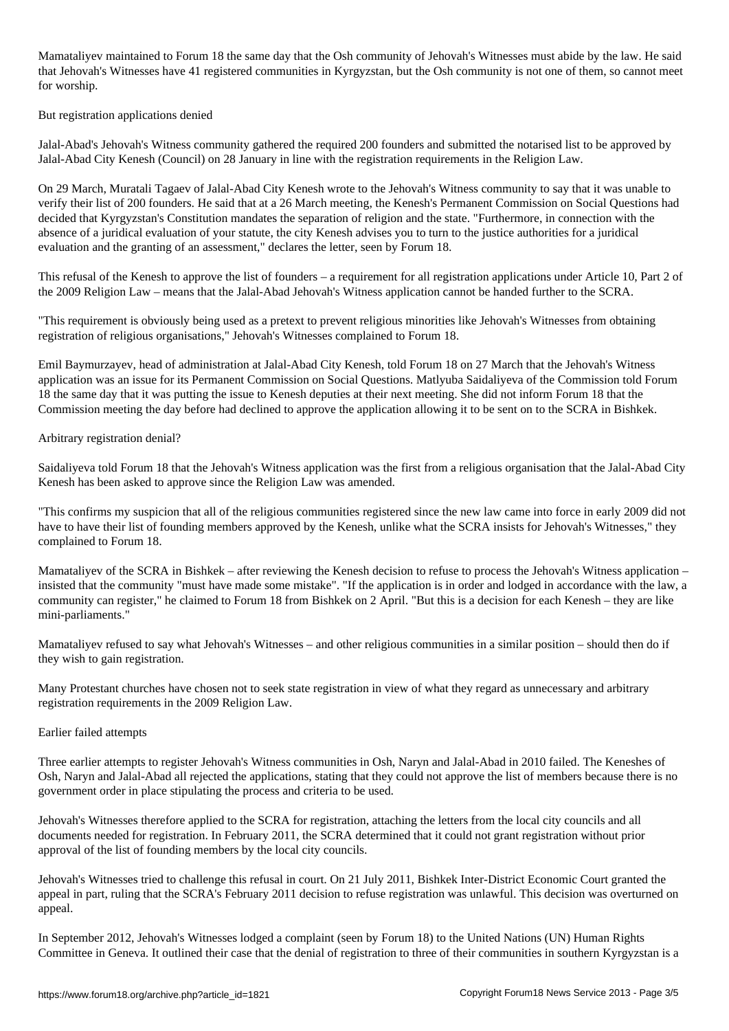Mamataliyev maintained to Forum 18 the same day that the Osh community of Jehovah's Witnesses must abide by the law. He said that Jehovah's Witnesses have 41 registered communities in Kyrgyzstan, but the Osh community is not one of them, so cannot meet for worship.

But registration applications denied

Jalal-Abad's Jehovah's Witness community gathered the required 200 founders and submitted the notarised list to be approved by Jalal-Abad City Kenesh (Council) on 28 January in line with the registration requirements in the Religion Law.

On 29 March, Muratali Tagaev of Jalal-Abad City Kenesh wrote to the Jehovah's Witness community to say that it was unable to verify their list of 200 founders. He said that at a 26 March meeting, the Kenesh's Permanent Commission on Social Questions had decided that Kyrgyzstan's Constitution mandates the separation of religion and the state. "Furthermore, in connection with the absence of a juridical evaluation of your statute, the city Kenesh advises you to turn to the justice authorities for a juridical evaluation and the granting of an assessment," declares the letter, seen by Forum 18.

This refusal of the Kenesh to approve the list of founders – a requirement for all registration applications under Article 10, Part 2 of the 2009 Religion Law – means that the Jalal-Abad Jehovah's Witness application cannot be handed further to the SCRA.

"This requirement is obviously being used as a pretext to prevent religious minorities like Jehovah's Witnesses from obtaining registration of religious organisations," Jehovah's Witnesses complained to Forum 18.

Emil Baymurzayev, head of administration at Jalal-Abad City Kenesh, told Forum 18 on 27 March that the Jehovah's Witness application was an issue for its Permanent Commission on Social Questions. Matlyuba Saidaliyeva of the Commission told Forum 18 the same day that it was putting the issue to Kenesh deputies at their next meeting. She did not inform Forum 18 that the Commission meeting the day before had declined to approve the application allowing it to be sent on to the SCRA in Bishkek.

## Arbitrary registration denial?

Saidaliyeva told Forum 18 that the Jehovah's Witness application was the first from a religious organisation that the Jalal-Abad City Kenesh has been asked to approve since the Religion Law was amended.

"This confirms my suspicion that all of the religious communities registered since the new law came into force in early 2009 did not have to have their list of founding members approved by the Kenesh, unlike what the SCRA insists for Jehovah's Witnesses," they complained to Forum 18.

Mamataliyev of the SCRA in Bishkek – after reviewing the Kenesh decision to refuse to process the Jehovah's Witness application – insisted that the community "must have made some mistake". "If the application is in order and lodged in accordance with the law, a community can register," he claimed to Forum 18 from Bishkek on 2 April. "But this is a decision for each Kenesh – they are like mini-parliaments."

Mamataliyev refused to say what Jehovah's Witnesses – and other religious communities in a similar position – should then do if they wish to gain registration.

Many Protestant churches have chosen not to seek state registration in view of what they regard as unnecessary and arbitrary registration requirements in the 2009 Religion Law.

## Earlier failed attempts

Three earlier attempts to register Jehovah's Witness communities in Osh, Naryn and Jalal-Abad in 2010 failed. The Keneshes of Osh, Naryn and Jalal-Abad all rejected the applications, stating that they could not approve the list of members because there is no government order in place stipulating the process and criteria to be used.

Jehovah's Witnesses therefore applied to the SCRA for registration, attaching the letters from the local city councils and all documents needed for registration. In February 2011, the SCRA determined that it could not grant registration without prior approval of the list of founding members by the local city councils.

Jehovah's Witnesses tried to challenge this refusal in court. On 21 July 2011, Bishkek Inter-District Economic Court granted the appeal in part, ruling that the SCRA's February 2011 decision to refuse registration was unlawful. This decision was overturned on appeal.

In September 2012, Jehovah's Witnesses lodged a complaint (seen by Forum 18) to the United Nations (UN) Human Rights Committee in Geneva. It outlined their case that the denial of registration to three of their communities in southern Kyrgyzstan is a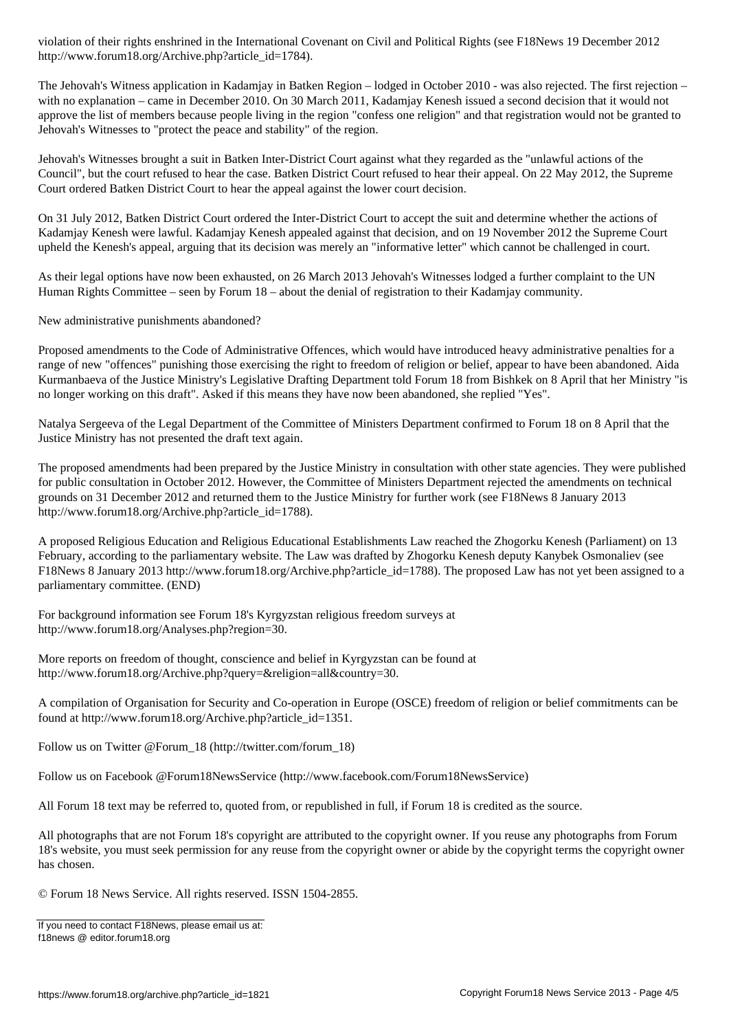http://www.forum18.org/Archive.php?article\_id=1784).

The Jehovah's Witness application in Kadamjay in Batken Region – lodged in October 2010 - was also rejected. The first rejection – with no explanation – came in December 2010. On 30 March 2011, Kadamjay Kenesh issued a second decision that it would not approve the list of members because people living in the region "confess one religion" and that registration would not be granted to Jehovah's Witnesses to "protect the peace and stability" of the region.

Jehovah's Witnesses brought a suit in Batken Inter-District Court against what they regarded as the "unlawful actions of the Council", but the court refused to hear the case. Batken District Court refused to hear their appeal. On 22 May 2012, the Supreme Court ordered Batken District Court to hear the appeal against the lower court decision.

On 31 July 2012, Batken District Court ordered the Inter-District Court to accept the suit and determine whether the actions of Kadamjay Kenesh were lawful. Kadamjay Kenesh appealed against that decision, and on 19 November 2012 the Supreme Court upheld the Kenesh's appeal, arguing that its decision was merely an "informative letter" which cannot be challenged in court.

As their legal options have now been exhausted, on 26 March 2013 Jehovah's Witnesses lodged a further complaint to the UN Human Rights Committee – seen by Forum 18 – about the denial of registration to their Kadamjay community.

New administrative punishments abandoned?

Proposed amendments to the Code of Administrative Offences, which would have introduced heavy administrative penalties for a range of new "offences" punishing those exercising the right to freedom of religion or belief, appear to have been abandoned. Aida Kurmanbaeva of the Justice Ministry's Legislative Drafting Department told Forum 18 from Bishkek on 8 April that her Ministry "is no longer working on this draft". Asked if this means they have now been abandoned, she replied "Yes".

Natalya Sergeeva of the Legal Department of the Committee of Ministers Department confirmed to Forum 18 on 8 April that the Justice Ministry has not presented the draft text again.

The proposed amendments had been prepared by the Justice Ministry in consultation with other state agencies. They were published for public consultation in October 2012. However, the Committee of Ministers Department rejected the amendments on technical grounds on 31 December 2012 and returned them to the Justice Ministry for further work (see F18News 8 January 2013 http://www.forum18.org/Archive.php?article\_id=1788).

A proposed Religious Education and Religious Educational Establishments Law reached the Zhogorku Kenesh (Parliament) on 13 February, according to the parliamentary website. The Law was drafted by Zhogorku Kenesh deputy Kanybek Osmonaliev (see F18News 8 January 2013 http://www.forum18.org/Archive.php?article\_id=1788). The proposed Law has not yet been assigned to a parliamentary committee. (END)

For background information see Forum 18's Kyrgyzstan religious freedom surveys at http://www.forum18.org/Analyses.php?region=30.

More reports on freedom of thought, conscience and belief in Kyrgyzstan can be found at http://www.forum18.org/Archive.php?query=&religion=all&country=30.

A compilation of Organisation for Security and Co-operation in Europe (OSCE) freedom of religion or belief commitments can be found at http://www.forum18.org/Archive.php?article\_id=1351.

Follow us on Twitter @Forum\_18 (http://twitter.com/forum\_18)

Follow us on Facebook @Forum18NewsService (http://www.facebook.com/Forum18NewsService)

All Forum 18 text may be referred to, quoted from, or republished in full, if Forum 18 is credited as the source.

All photographs that are not Forum 18's copyright are attributed to the copyright owner. If you reuse any photographs from Forum 18's website, you must seek permission for any reuse from the copyright owner or abide by the copyright terms the copyright owner has chosen.

© Forum 18 News Service. All rights reserved. ISSN 1504-2855.

If you need to contact F18News, please email us at: f18news @ editor.forum18.org